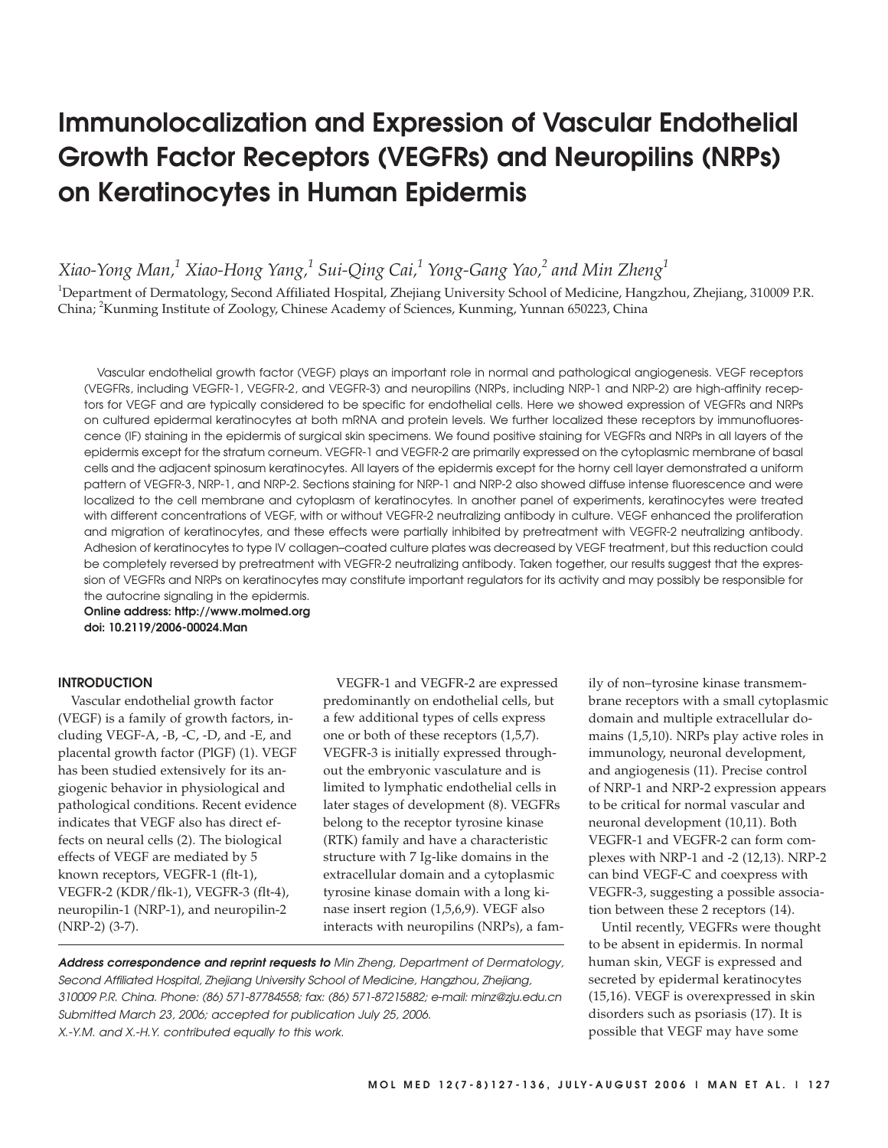# **Immunolocalization and Expression of Vascular Endothelial Growth Factor Receptors (VEGFRs) and Neuropilins (NRPs) on Keratinocytes in Human Epidermis**

*Xiao-Yong Man,1 Xiao-Hong Yang,1 Sui-Qing Cai,1 Yong-Gang Yao,2 and Min Zheng<sup>1</sup>*

<sup>1</sup>Department of Dermatology, Second Affiliated Hospital, Zhejiang University School of Medicine, Hangzhou, Zhejiang, 310009 P.R. China; 2 Kunming Institute of Zoology, Chinese Academy of Sciences, Kunming, Yunnan 650223, China

Vascular endothelial growth factor (VEGF) plays an important role in normal and pathological angiogenesis. VEGF receptors (VEGFRs, including VEGFR-1, VEGFR-2, and VEGFR-3) and neuropilins (NRPs, including NRP-1 and NRP-2) are high-affinity receptors for VEGF and are typically considered to be specific for endothelial cells. Here we showed expression of VEGFRs and NRPs on cultured epidermal keratinocytes at both mRNA and protein levels. We further localized these receptors by immunofluorescence (IF) staining in the epidermis of surgical skin specimens. We found positive staining for VEGFRs and NRPs in all layers of the epidermis except for the stratum corneum. VEGFR-1 and VEGFR-2 are primarily expressed on the cytoplasmic membrane of basal cells and the adjacent spinosum keratinocytes. All layers of the epidermis except for the horny cell layer demonstrated a uniform pattern of VEGFR-3, NRP-1, and NRP-2. Sections staining for NRP-1 and NRP-2 also showed diffuse intense fluorescence and were localized to the cell membrane and cytoplasm of keratinocytes. In another panel of experiments, keratinocytes were treated with different concentrations of VEGF, with or without VEGFR-2 neutralizing antibody in culture. VEGF enhanced the proliferation and migration of keratinocytes, and these effects were partially inhibited by pretreatment with VEGFR-2 neutralizing antibody. Adhesion of keratinocytes to type IV collagen–coated culture plates was decreased by VEGF treatment, but this reduction could be completely reversed by pretreatment with VEGFR-2 neutralizing antibody. Taken together, our results suggest that the expression of VEGFRs and NRPs on keratinocytes may constitute important regulators for its activity and may possibly be responsible for the autocrine signaling in the epidermis.

**Online address: http://www.molmed.org doi: 10.2119/2006-00024.Man**

## **INTRODUCTION**

Vascular endothelial growth factor (VEGF) is a family of growth factors, including VEGF-A, -B, -C, -D, and -E, and placental growth factor (PlGF) (1). VEGF has been studied extensively for its angiogenic behavior in physiological and pathological conditions. Recent evidence indicates that VEGF also has direct effects on neural cells (2). The biological effects of VEGF are mediated by 5 known receptors, VEGFR-1 (flt-1), VEGFR-2 (KDR/flk-1), VEGFR-3 (flt-4), neuropilin-1 (NRP-1), and neuropilin-2 (NRP-2) (3-7).

VEGFR-1 and VEGFR-2 are expressed predominantly on endothelial cells, but a few additional types of cells express one or both of these receptors (1,5,7). VEGFR-3 is initially expressed throughout the embryonic vasculature and is limited to lymphatic endothelial cells in later stages of development (8). VEGFRs belong to the receptor tyrosine kinase (RTK) family and have a characteristic structure with 7 Ig-like domains in the extracellular domain and a cytoplasmic tyrosine kinase domain with a long kinase insert region (1,5,6,9). VEGF also interacts with neuropilins (NRPs), a fam-

**Address correspondence and reprint requests to** Min Zheng, Department of Dermatology, Second Affiliated Hospital, Zhejiang University School of Medicine, Hangzhou, Zhejiang, 310009 P.R. China. Phone: (86) 571-87784558; fax: (86) 571-87215882; e-mail: minz@zju.edu.cn Submitted March 23, 2006; accepted for publication July 25, 2006. X.-Y.M. and X.-H.Y. contributed equally to this work.

ily of non–tyrosine kinase transmembrane receptors with a small cytoplasmic domain and multiple extracellular domains (1,5,10). NRPs play active roles in immunology, neuronal development, and angiogenesis (11). Precise control of NRP-1 and NRP-2 expression appears to be critical for normal vascular and neuronal development (10,11). Both VEGFR-1 and VEGFR-2 can form complexes with NRP-1 and -2 (12,13). NRP-2 can bind VEGF-C and coexpress with VEGFR-3, suggesting a possible association between these 2 receptors (14).

Until recently, VEGFRs were thought to be absent in epidermis. In normal human skin, VEGF is expressed and secreted by epidermal keratinocytes (15,16). VEGF is overexpressed in skin disorders such as psoriasis (17). It is possible that VEGF may have some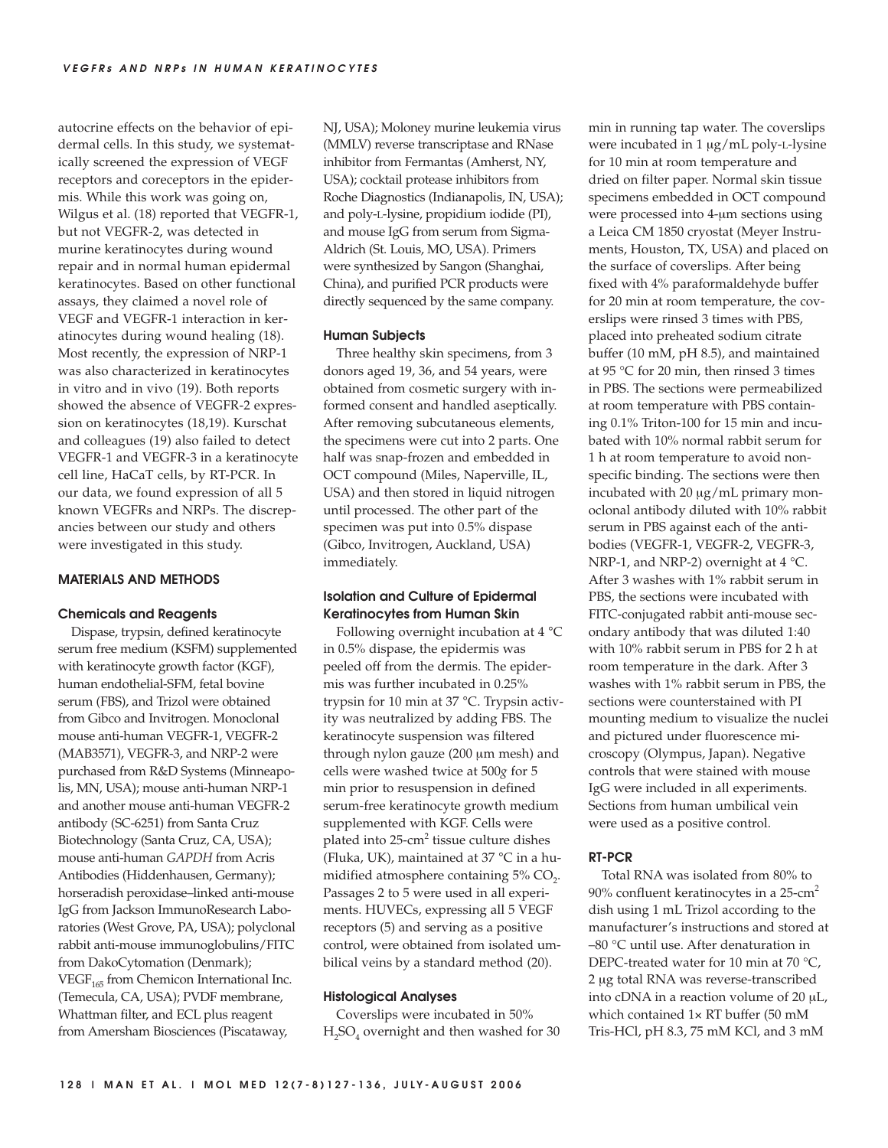autocrine effects on the behavior of epidermal cells. In this study, we systematically screened the expression of VEGF receptors and coreceptors in the epidermis. While this work was going on, Wilgus et al. (18) reported that VEGFR-1, but not VEGFR-2, was detected in murine keratinocytes during wound repair and in normal human epidermal keratinocytes. Based on other functional assays, they claimed a novel role of VEGF and VEGFR-1 interaction in keratinocytes during wound healing (18). Most recently, the expression of NRP-1 was also characterized in keratinocytes in vitro and in vivo (19). Both reports showed the absence of VEGFR-2 expression on keratinocytes (18,19). Kurschat and colleagues (19) also failed to detect VEGFR-1 and VEGFR-3 in a keratinocyte cell line, HaCaT cells, by RT-PCR. In our data, we found expression of all 5 known VEGFRs and NRPs. The discrepancies between our study and others were investigated in this study.

# **MATERIALS AND METHODS**

# **Chemicals and Reagents**

Dispase, trypsin, defined keratinocyte serum free medium (KSFM) supplemented with keratinocyte growth factor (KGF), human endothelial-SFM, fetal bovine serum (FBS), and Trizol were obtained from Gibco and Invitrogen. Monoclonal mouse anti-human VEGFR-1, VEGFR-2 (MAB3571), VEGFR-3, and NRP-2 were purchased from R&D Systems (Minneapolis, MN, USA); mouse anti-human NRP-1 and another mouse anti-human VEGFR-2 antibody (SC-6251) from Santa Cruz Biotechnology (Santa Cruz, CA, USA); mouse anti-human *GAPDH* from Acris Antibodies (Hiddenhausen, Germany); horseradish peroxidase–linked anti-mouse IgG from Jackson ImmunoResearch Laboratories (West Grove, PA, USA); polyclonal rabbit anti-mouse immunoglobulins/FITC from DakoCytomation (Denmark);  $VEGF<sub>165</sub>$  from Chemicon International Inc. (Temecula, CA, USA); PVDF membrane, Whattman filter, and ECL plus reagent from Amersham Biosciences (Piscataway,

NJ, USA); Moloney murine leukemia virus (MMLV) reverse transcriptase and RNase inhibitor from Fermantas (Amherst, NY, USA); cocktail protease inhibitors from Roche Diagnostics (Indianapolis, IN, USA); and poly-L-lysine, propidium iodide (PI), and mouse IgG from serum from Sigma-Aldrich (St. Louis, MO, USA). Primers were synthesized by Sangon (Shanghai, China), and purified PCR products were directly sequenced by the same company.

#### **Human Subjects**

Three healthy skin specimens, from 3 donors aged 19, 36, and 54 years, were obtained from cosmetic surgery with informed consent and handled aseptically. After removing subcutaneous elements, the specimens were cut into 2 parts. One half was snap-frozen and embedded in OCT compound (Miles, Naperville, IL, USA) and then stored in liquid nitrogen until processed. The other part of the specimen was put into 0.5% dispase (Gibco, Invitrogen, Auckland, USA) immediately.

# **Isolation and Culture of Epidermal Keratinocytes from Human Skin**

Following overnight incubation at 4 °C in 0.5% dispase, the epidermis was peeled off from the dermis. The epidermis was further incubated in 0.25% trypsin for 10 min at 37 °C. Trypsin activity was neutralized by adding FBS. The keratinocyte suspension was filtered through nylon gauze (200 μm mesh) and cells were washed twice at 500*g* for 5 min prior to resuspension in defined serum-free keratinocyte growth medium supplemented with KGF. Cells were plated into 25-cm2 tissue culture dishes (Fluka, UK), maintained at 37 °C in a humidified atmosphere containing  $5\%$  CO<sub>2</sub>. Passages 2 to 5 were used in all experiments. HUVECs, expressing all 5 VEGF receptors (5) and serving as a positive control, were obtained from isolated umbilical veins by a standard method (20).

#### **Histological Analyses**

Coverslips were incubated in 50%  $H<sub>2</sub>SO<sub>4</sub>$  overnight and then washed for 30 min in running tap water. The coverslips were incubated in 1 μg/mL poly-L-lysine for 10 min at room temperature and dried on filter paper. Normal skin tissue specimens embedded in OCT compound were processed into 4-μm sections using a Leica CM 1850 cryostat (Meyer Instruments, Houston, TX, USA) and placed on the surface of coverslips. After being fixed with 4% paraformaldehyde buffer for 20 min at room temperature, the coverslips were rinsed 3 times with PBS, placed into preheated sodium citrate buffer (10 mM, pH 8.5), and maintained at 95 °C for 20 min, then rinsed 3 times in PBS. The sections were permeabilized at room temperature with PBS containing 0.1% Triton-100 for 15 min and incubated with 10% normal rabbit serum for 1 h at room temperature to avoid nonspecific binding. The sections were then incubated with 20 μg/mL primary monoclonal antibody diluted with 10% rabbit serum in PBS against each of the antibodies (VEGFR-1, VEGFR-2, VEGFR-3, NRP-1, and NRP-2) overnight at  $4^{\circ}$ C. After 3 washes with 1% rabbit serum in PBS, the sections were incubated with FITC-conjugated rabbit anti-mouse secondary antibody that was diluted 1:40 with 10% rabbit serum in PBS for 2 h at room temperature in the dark. After 3 washes with 1% rabbit serum in PBS, the sections were counterstained with PI mounting medium to visualize the nuclei and pictured under fluorescence microscopy (Olympus, Japan). Negative controls that were stained with mouse IgG were included in all experiments. Sections from human umbilical vein were used as a positive control.

## **RT-PCR**

Total RNA was isolated from 80% to 90% confluent keratinocytes in a 25-cm<sup>2</sup> dish using 1 mL Trizol according to the manufacturer's instructions and stored at –80 °C until use. After denaturation in DEPC-treated water for 10 min at 70 °C, 2 μg total RNA was reverse-transcribed into cDNA in a reaction volume of 20 μL, which contained 1× RT buffer (50 mM Tris-HCl, pH 8.3, 75 mM KCl, and 3 mM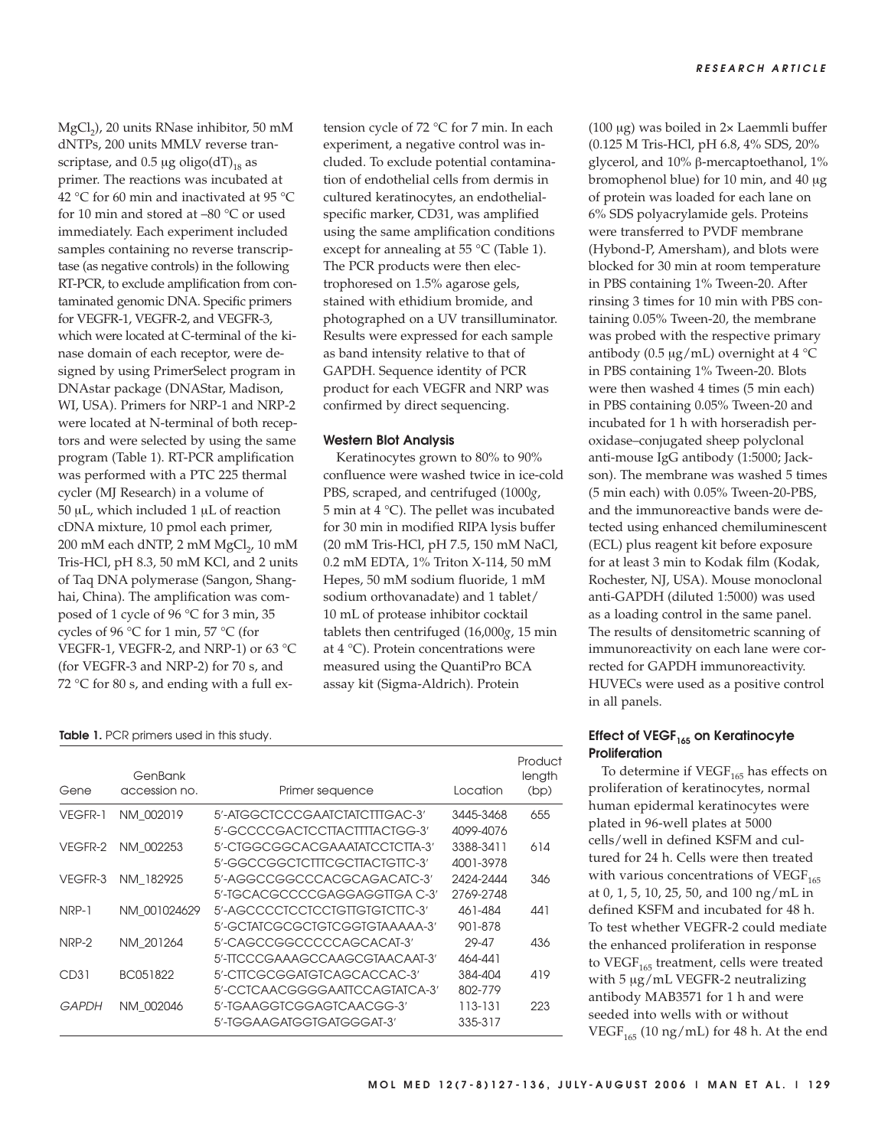MgCl<sub>2</sub>), 20 units RNase inhibitor, 50 mM dNTPs, 200 units MMLV reverse transcriptase, and  $0.5 \mu$ g oligo(dT)<sub>18</sub> as primer. The reactions was incubated at 42 °C for 60 min and inactivated at 95 °C for 10 min and stored at –80 °C or used immediately. Each experiment included samples containing no reverse transcriptase (as negative controls) in the following RT-PCR, to exclude amplification from contaminated genomic DNA. Specific primers for VEGFR-1, VEGFR-2, and VEGFR-3, which were located at C-terminal of the kinase domain of each receptor, were designed by using PrimerSelect program in DNAstar package (DNAStar, Madison, WI, USA). Primers for NRP-1 and NRP-2 were located at N-terminal of both receptors and were selected by using the same program (Table 1). RT-PCR amplification was performed with a PTC 225 thermal cycler (MJ Research) in a volume of 50 μL, which included 1 μL of reaction cDNA mixture, 10 pmol each primer, 200 mM each dNTP, 2 mM MgCl<sub>2</sub>, 10 mM Tris-HCl, pH 8.3, 50 mM KCl, and 2 units of Taq DNA polymerase (Sangon, Shanghai, China). The amplification was composed of 1 cycle of 96 °C for 3 min, 35 cycles of 96 °C for 1 min, 57 °C (for VEGFR-1, VEGFR-2, and NRP-1) or 63 °C (for VEGFR-3 and NRP-2) for 70 s, and 72 °C for 80 s, and ending with a full extension cycle of 72 °C for 7 min. In each experiment, a negative control was included. To exclude potential contamination of endothelial cells from dermis in cultured keratinocytes, an endothelialspecific marker, CD31, was amplified using the same amplification conditions except for annealing at 55 °C (Table 1). The PCR products were then electrophoresed on 1.5% agarose gels, stained with ethidium bromide, and photographed on a UV transilluminator. Results were expressed for each sample as band intensity relative to that of GAPDH. Sequence identity of PCR product for each VEGFR and NRP was confirmed by direct sequencing.

## **Western Blot Analysis**

Keratinocytes grown to 80% to 90% confluence were washed twice in ice-cold PBS, scraped, and centrifuged (1000*g*, 5 min at 4 °C). The pellet was incubated for 30 min in modified RIPA lysis buffer (20 mM Tris-HCl, pH 7.5, 150 mM NaCl, 0.2 mM EDTA, 1% Triton X-114, 50 mM Hepes, 50 mM sodium fluoride, 1 mM sodium orthovanadate) and 1 tablet/ 10 mL of protease inhibitor cocktail tablets then centrifuged (16,000*g*, 15 min at 4 °C). Protein concentrations were measured using the QuantiPro BCA assay kit (Sigma-Aldrich). Protein

|  | Table 1. PCR primers used in this study. |  |  |  |
|--|------------------------------------------|--|--|--|
|  |                                          |  |  |  |

| Gene         | GenBank<br>accession no. | Primer sequence                | Location  | Product<br>length<br>(bp) |
|--------------|--------------------------|--------------------------------|-----------|---------------------------|
| VEGFR-1      | NM 002019                | 5'-AIGGCICCCGAAICIAICIIIGAC-3' | 3445-3468 | 655                       |
|              |                          | 5'-GCCCCGACTCCTTACTTTTACTGG-3' | 4099-4076 |                           |
| VEGFR-2      | NM 002253                | 5'-CIGGCGGCACGAAATATCCTCTTA-3' | 3388-3411 | 614                       |
|              |                          | 5'-GGCCGGCTCTTTCGCTTACTGTTC-3' | 4001-3978 |                           |
| VEGFR-3      | NM 182925                | 5'-AGGCCGGCCCACGCAGACATC-3'    | 2424-2444 | 346                       |
|              |                          | 5'-TGCACGCCCCGAGGAGGTTGA C-3'  | 2769-2748 |                           |
| NRP-1        | NM 001024629             | 5'-AGCCCCTCCTCCTGTTGTGTCTTC-3' | 461-484   | 441                       |
|              |                          | 5'-GCTATCGCGCTGTCGGTGTAAAAA-3' | 901-878   |                           |
| NRP-2        | NM 201264                | 5'-CAGCCGGCCCCCAGCACAT-3'      | 29-47     | 436                       |
|              |                          | 5'-TICCCGAAAGCCAAGCGTAACAAT-3' | 464-441   |                           |
| CD31         | BC051822                 | 5'-CITCGCGGATGTCAGCACCAC-3'    | 384-404   | 419                       |
|              |                          | 5'-CCICAACGGGGAATICCAGIAICA-3' | 802-779   |                           |
| <b>GAPDH</b> | NM 002046                | 5'-TGAAGGTCGGAGTCAACGG-3'      | 113-131   | 223                       |
|              |                          | 5'-TGGAAGATGGTGATGGGAT-3'      | 335-317   |                           |

(100 μg) was boiled in 2× Laemmli buffer (0.125 M Tris-HCl, pH 6.8, 4% SDS, 20% glycerol, and 10% β-mercaptoethanol, 1% bromophenol blue) for 10 min, and 40 μg of protein was loaded for each lane on 6% SDS polyacrylamide gels. Proteins were transferred to PVDF membrane (Hybond-P, Amersham), and blots were blocked for 30 min at room temperature in PBS containing 1% Tween-20. After rinsing 3 times for 10 min with PBS containing 0.05% Tween-20, the membrane was probed with the respective primary antibody (0.5 μg/mL) overnight at 4 °C in PBS containing 1% Tween-20. Blots were then washed 4 times (5 min each) in PBS containing 0.05% Tween-20 and incubated for 1 h with horseradish peroxidase–conjugated sheep polyclonal anti-mouse IgG antibody (1:5000; Jackson). The membrane was washed 5 times (5 min each) with 0.05% Tween-20-PBS, and the immunoreactive bands were detected using enhanced chemiluminescent (ECL) plus reagent kit before exposure for at least 3 min to Kodak film (Kodak, Rochester, NJ, USA). Mouse monoclonal anti-GAPDH (diluted 1:5000) was used as a loading control in the same panel. The results of densitometric scanning of immunoreactivity on each lane were corrected for GAPDH immunoreactivity. HUVECs were used as a positive control in all panels.

# **Effect of VEGF<sub>165</sub> on Keratinocyte Proliferation**

To determine if  $VEGF<sub>165</sub>$  has effects on proliferation of keratinocytes, normal human epidermal keratinocytes were plated in 96-well plates at 5000 cells/well in defined KSFM and cultured for 24 h. Cells were then treated with various concentrations of  $VEGF<sub>165</sub>$ at 0, 1, 5, 10, 25, 50, and 100 ng/mL in defined KSFM and incubated for 48 h. To test whether VEGFR-2 could mediate the enhanced proliferation in response to VEGF $_{165}$  treatment, cells were treated with 5 μg/mL VEGFR-2 neutralizing antibody MAB3571 for 1 h and were seeded into wells with or without VEGF<sub>165</sub> (10 ng/mL) for 48 h. At the end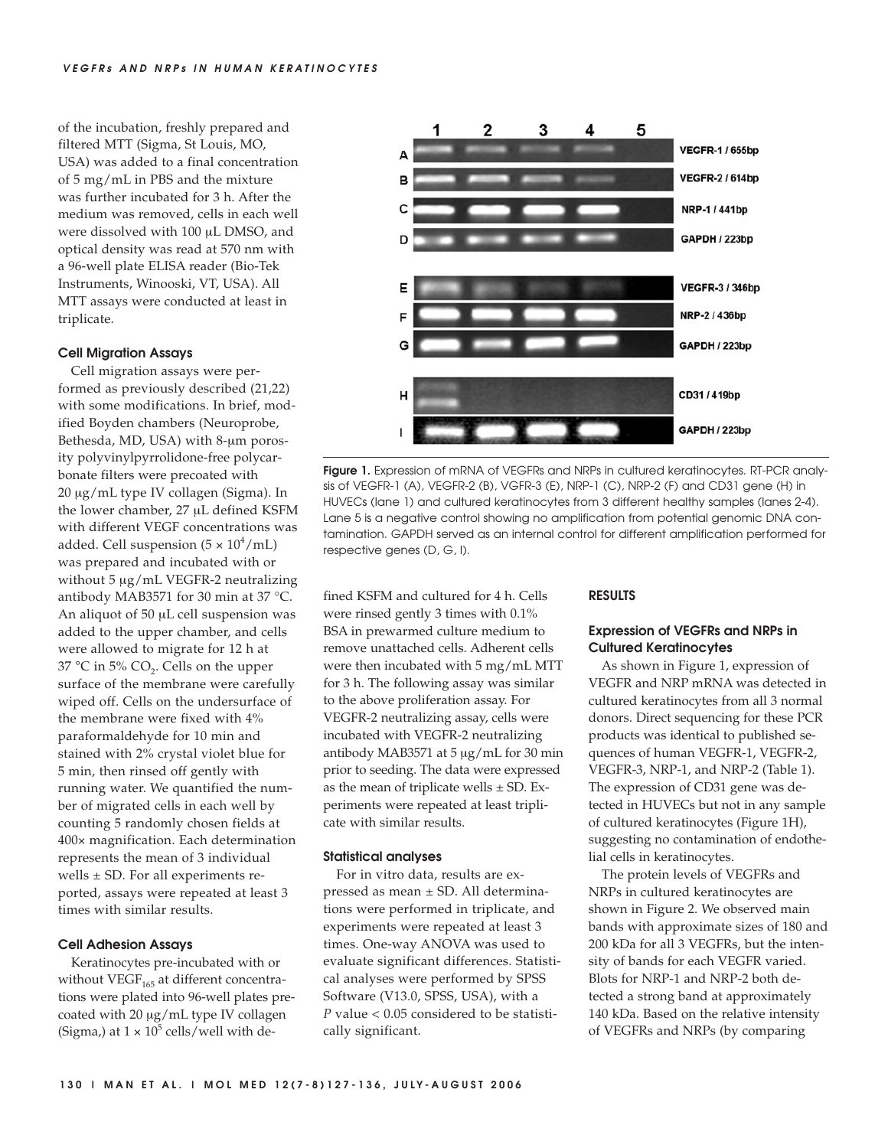of the incubation, freshly prepared and filtered MTT (Sigma, St Louis, MO, USA) was added to a final concentration of 5 mg/mL in PBS and the mixture was further incubated for 3 h. After the medium was removed, cells in each well were dissolved with 100 μL DMSO, and optical density was read at 570 nm with a 96-well plate ELISA reader (Bio-Tek Instruments, Winooski, VT, USA). All MTT assays were conducted at least in triplicate.

## **Cell Migration Assays**

Cell migration assays were performed as previously described (21,22) with some modifications. In brief, modified Boyden chambers (Neuroprobe, Bethesda, MD, USA) with 8-μm porosity polyvinylpyrrolidone-free polycarbonate filters were precoated with 20 μg/mL type IV collagen (Sigma). In the lower chamber, 27 μL defined KSFM with different VEGF concentrations was added. Cell suspension  $(5 \times 10^4/\text{mL})$ was prepared and incubated with or without 5 μg/mL VEGFR-2 neutralizing antibody MAB3571 for 30 min at 37 °C. An aliquot of 50 μL cell suspension was added to the upper chamber, and cells were allowed to migrate for 12 h at 37 °C in 5% CO<sub>2</sub>. Cells on the upper surface of the membrane were carefully wiped off. Cells on the undersurface of the membrane were fixed with 4% paraformaldehyde for 10 min and stained with 2% crystal violet blue for 5 min, then rinsed off gently with running water. We quantified the number of migrated cells in each well by counting 5 randomly chosen fields at 400× magnification. Each determination represents the mean of 3 individual wells ± SD. For all experiments reported, assays were repeated at least 3 times with similar results.

#### **Cell Adhesion Assays**

Keratinocytes pre-incubated with or without  $VEGF<sub>165</sub>$  at different concentrations were plated into 96-well plates precoated with 20 μg/mL type IV collagen (Sigma,) at  $1 \times 10^5$  cells/well with de-



**Figure 1.** Expression of mRNA of VEGFRs and NRPs in cultured keratinocytes. RT-PCR analysis of VEGFR-1 (A), VEGFR-2 (B), VGFR-3 (E), NRP-1 (C), NRP-2 (F) and CD31 gene (H) in HUVECs (lane 1) and cultured keratinocytes from 3 different healthy samples (lanes 2-4). Lane 5 is a negative control showing no amplification from potential genomic DNA contamination. GAPDH served as an internal control for different amplification performed for respective genes (D, G, I).

fined KSFM and cultured for 4 h. Cells were rinsed gently 3 times with 0.1% BSA in prewarmed culture medium to remove unattached cells. Adherent cells were then incubated with 5 mg/mL MTT for 3 h. The following assay was similar to the above proliferation assay. For VEGFR-2 neutralizing assay, cells were incubated with VEGFR-2 neutralizing antibody MAB3571 at 5 μg/mL for 30 min prior to seeding. The data were expressed as the mean of triplicate wells  $\pm$  SD. Experiments were repeated at least triplicate with similar results.

## **Statistical analyses**

For in vitro data, results are expressed as mean ± SD. All determinations were performed in triplicate, and experiments were repeated at least 3 times. One-way ANOVA was used to evaluate significant differences. Statistical analyses were performed by SPSS Software (V13.0, SPSS, USA), with a *P* value < 0.05 considered to be statistically significant.

## **RESULTS**

# **Expression of VEGFRs and NRPs in Cultured Keratinocytes**

As shown in Figure 1, expression of VEGFR and NRP mRNA was detected in cultured keratinocytes from all 3 normal donors. Direct sequencing for these PCR products was identical to published sequences of human VEGFR-1, VEGFR-2, VEGFR-3, NRP-1, and NRP-2 (Table 1). The expression of CD31 gene was detected in HUVECs but not in any sample of cultured keratinocytes (Figure 1H), suggesting no contamination of endothelial cells in keratinocytes.

The protein levels of VEGFRs and NRPs in cultured keratinocytes are shown in Figure 2. We observed main bands with approximate sizes of 180 and 200 kDa for all 3 VEGFRs, but the intensity of bands for each VEGFR varied. Blots for NRP-1 and NRP-2 both detected a strong band at approximately 140 kDa. Based on the relative intensity of VEGFRs and NRPs (by comparing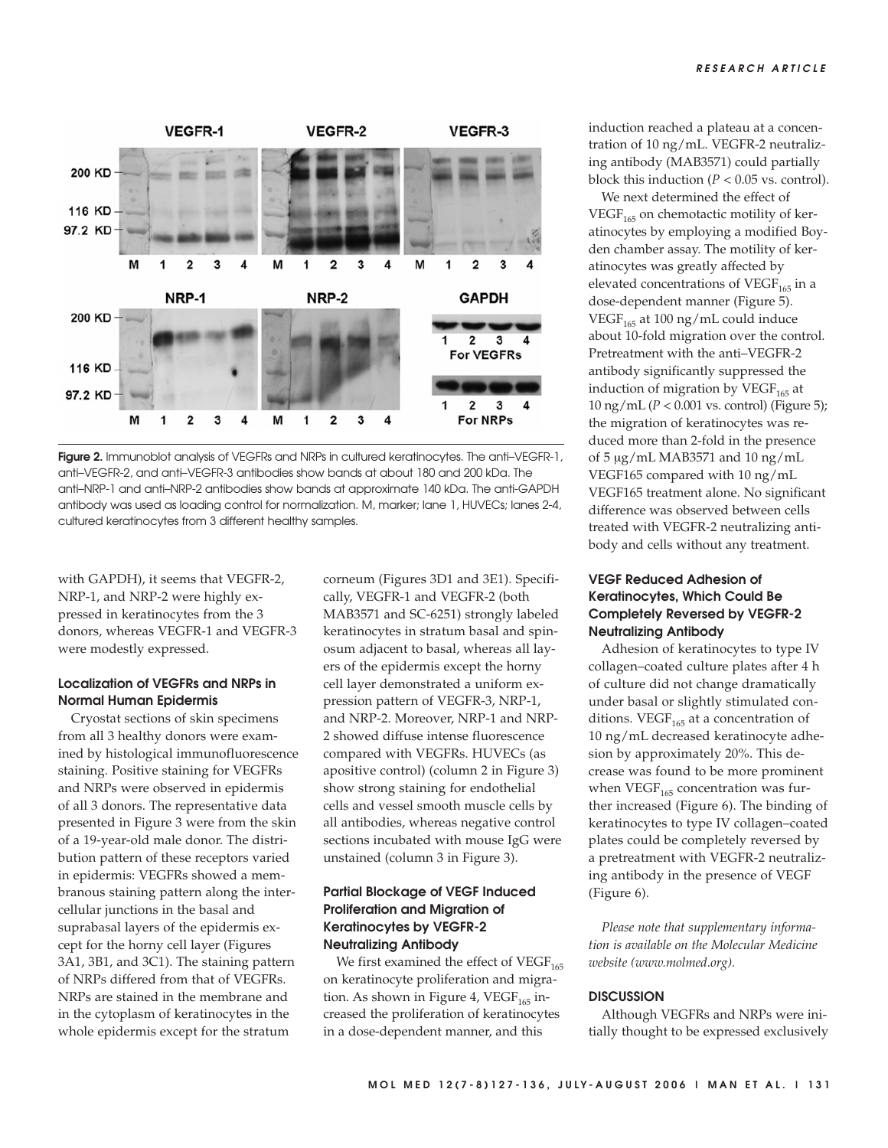

**Figure 2.** Immunoblot analysis of VEGFRs and NRPs in cultured keratinocytes. The anti–VEGFR-1, anti–VEGFR-2, and anti–VEGFR-3 antibodies show bands at about 180 and 200 kDa. The anti–NRP-1 and anti–NRP-2 antibodies show bands at approximate 140 kDa. The anti-GAPDH antibody was used as loading control for normalization. M, marker; lane 1, HUVECs; lanes 2-4, cultured keratinocytes from 3 different healthy samples.

with GAPDH), it seems that VEGFR-2, NRP-1, and NRP-2 were highly expressed in keratinocytes from the 3 donors, whereas VEGFR-1 and VEGFR-3 were modestly expressed.

# **Localization of VEGFRs and NRPs in Normal Human Epidermis**

Cryostat sections of skin specimens from all 3 healthy donors were examined by histological immunofluorescence staining. Positive staining for VEGFRs and NRPs were observed in epidermis of all 3 donors. The representative data presented in Figure 3 were from the skin of a 19-year-old male donor. The distribution pattern of these receptors varied in epidermis: VEGFRs showed a membranous staining pattern along the intercellular junctions in the basal and suprabasal layers of the epidermis except for the horny cell layer (Figures 3A1, 3B1, and 3C1). The staining pattern of NRPs differed from that of VEGFRs. NRPs are stained in the membrane and in the cytoplasm of keratinocytes in the whole epidermis except for the stratum

corneum (Figures 3D1 and 3E1). Specifically, VEGFR-1 and VEGFR-2 (both MAB3571 and SC-6251) strongly labeled keratinocytes in stratum basal and spinosum adjacent to basal, whereas all layers of the epidermis except the horny cell layer demonstrated a uniform expression pattern of VEGFR-3, NRP-1, and NRP-2. Moreover, NRP-1 and NRP-2 showed diffuse intense fluorescence compared with VEGFRs. HUVECs (as apositive control) (column 2 in Figure 3) show strong staining for endothelial cells and vessel smooth muscle cells by all antibodies, whereas negative control sections incubated with mouse IgG were unstained (column 3 in Figure 3).

# **Partial Blockage of VEGF Induced Proliferation and Migration of Keratinocytes by VEGFR-2 Neutralizing Antibody**

We first examined the effect of  $VEGF<sub>165</sub>$ on keratinocyte proliferation and migration. As shown in Figure 4, VEGF $_{165}$  increased the proliferation of keratinocytes in a dose-dependent manner, and this

induction reached a plateau at a concentration of 10 ng/mL. VEGFR-2 neutralizing antibody (MAB3571) could partially block this induction  $(P < 0.05$  vs. control).

We next determined the effect of  $VEGF<sub>165</sub>$  on chemotactic motility of keratinocytes by employing a modified Boyden chamber assay. The motility of keratinocytes was greatly affected by elevated concentrations of VEGF $_{165}$  in a dose-dependent manner (Figure 5). VEGF $_{165}$  at 100 ng/mL could induce about 10-fold migration over the control. Pretreatment with the anti–VEGFR-2 antibody significantly suppressed the induction of migration by  $VEGF<sub>165</sub>$  at 10 ng/mL (*P* < 0.001 vs. control) (Figure 5); the migration of keratinocytes was reduced more than 2-fold in the presence of 5 μg/mL MAB3571 and 10 ng/mL VEGF165 compared with 10 ng/mL VEGF165 treatment alone. No significant difference was observed between cells treated with VEGFR-2 neutralizing antibody and cells without any treatment.

# **VEGF Reduced Adhesion of Keratinocytes, Which Could Be Completely Reversed by VEGFR-2 Neutralizing Antibody**

Adhesion of keratinocytes to type IV collagen–coated culture plates after 4 h of culture did not change dramatically under basal or slightly stimulated conditions. VEGF $_{165}$  at a concentration of 10 ng/mL decreased keratinocyte adhesion by approximately 20%. This decrease was found to be more prominent when  $VEGF<sub>165</sub>$  concentration was further increased (Figure 6). The binding of keratinocytes to type IV collagen–coated plates could be completely reversed by a pretreatment with VEGFR-2 neutralizing antibody in the presence of VEGF (Figure 6).

*Please note that supplementary information is available on the Molecular Medicine website (www.molmed.org).*

# **DISCUSSION**

Although VEGFRs and NRPs were initially thought to be expressed exclusively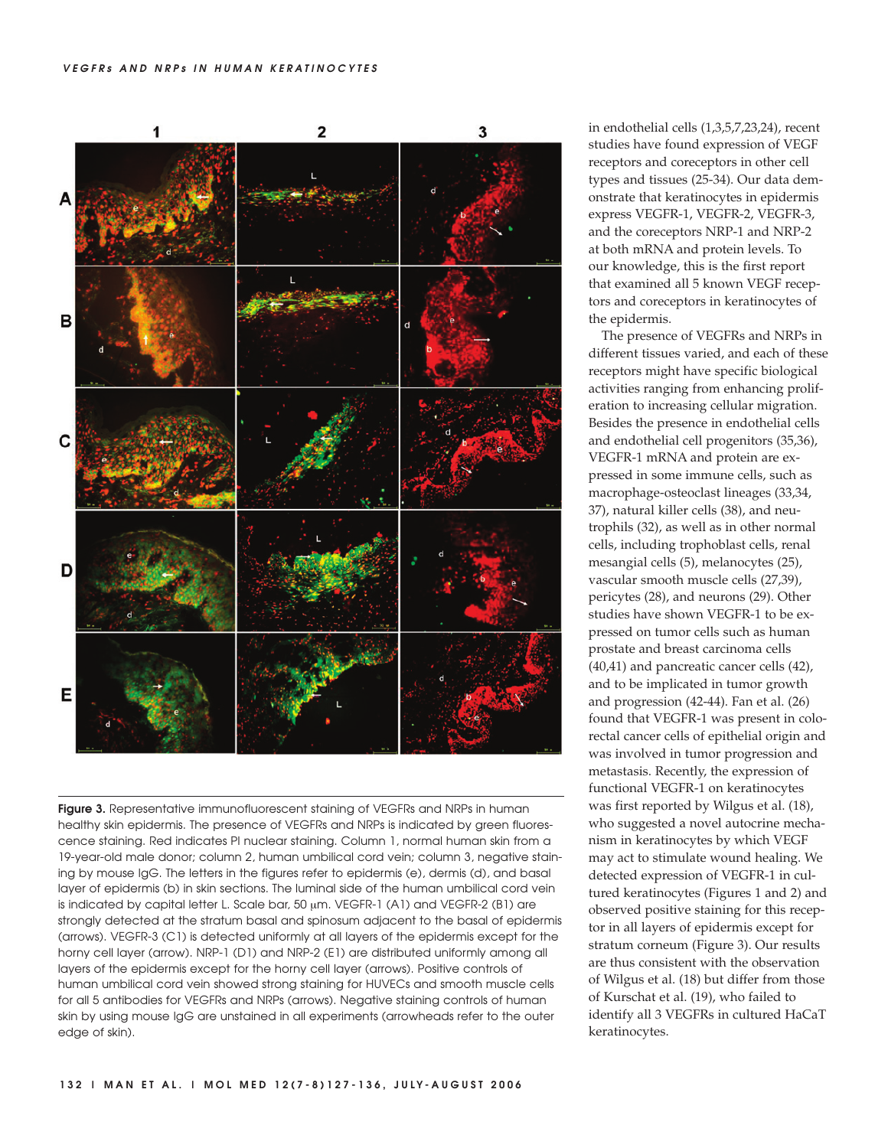

**Figure 3.** Representative immunofluorescent staining of VEGFRs and NRPs in human healthy skin epidermis. The presence of VEGFRs and NRPs is indicated by green fluorescence staining. Red indicates PI nuclear staining. Column 1, normal human skin from a 19-year-old male donor; column 2, human umbilical cord vein; column 3, negative staining by mouse IgG. The letters in the figures refer to epidermis (e), dermis (d), and basal layer of epidermis (b) in skin sections. The luminal side of the human umbilical cord vein is indicated by capital letter L. Scale bar, 50 μm. VEGFR-1 (A1) and VEGFR-2 (B1) are strongly detected at the stratum basal and spinosum adjacent to the basal of epidermis (arrows). VEGFR-3 (C1) is detected uniformly at all layers of the epidermis except for the horny cell layer (arrow). NRP-1 (D1) and NRP-2 (E1) are distributed uniformly among all layers of the epidermis except for the horny cell layer (arrows). Positive controls of human umbilical cord vein showed strong staining for HUVECs and smooth muscle cells for all 5 antibodies for VEGFRs and NRPs (arrows). Negative staining controls of human skin by using mouse IgG are unstained in all experiments (arrowheads refer to the outer edge of skin).

in endothelial cells (1,3,5,7,23,24), recent studies have found expression of VEGF receptors and coreceptors in other cell types and tissues (25-34). Our data demonstrate that keratinocytes in epidermis express VEGFR-1, VEGFR-2, VEGFR-3, and the coreceptors NRP-1 and NRP-2 at both mRNA and protein levels. To our knowledge, this is the first report that examined all 5 known VEGF receptors and coreceptors in keratinocytes of the epidermis.

The presence of VEGFRs and NRPs in different tissues varied, and each of these receptors might have specific biological activities ranging from enhancing proliferation to increasing cellular migration. Besides the presence in endothelial cells and endothelial cell progenitors (35,36), VEGFR-1 mRNA and protein are expressed in some immune cells, such as macrophage-osteoclast lineages (33,34, 37), natural killer cells (38), and neutrophils (32), as well as in other normal cells, including trophoblast cells, renal mesangial cells (5), melanocytes (25), vascular smooth muscle cells (27,39), pericytes (28), and neurons (29). Other studies have shown VEGFR-1 to be expressed on tumor cells such as human prostate and breast carcinoma cells (40,41) and pancreatic cancer cells (42), and to be implicated in tumor growth and progression (42-44). Fan et al. (26) found that VEGFR-1 was present in colorectal cancer cells of epithelial origin and was involved in tumor progression and metastasis. Recently, the expression of functional VEGFR-1 on keratinocytes was first reported by Wilgus et al. (18), who suggested a novel autocrine mechanism in keratinocytes by which VEGF may act to stimulate wound healing. We detected expression of VEGFR-1 in cultured keratinocytes (Figures 1 and 2) and observed positive staining for this receptor in all layers of epidermis except for stratum corneum (Figure 3). Our results are thus consistent with the observation of Wilgus et al. (18) but differ from those of Kurschat et al. (19), who failed to identify all 3 VEGFRs in cultured HaCaT keratinocytes.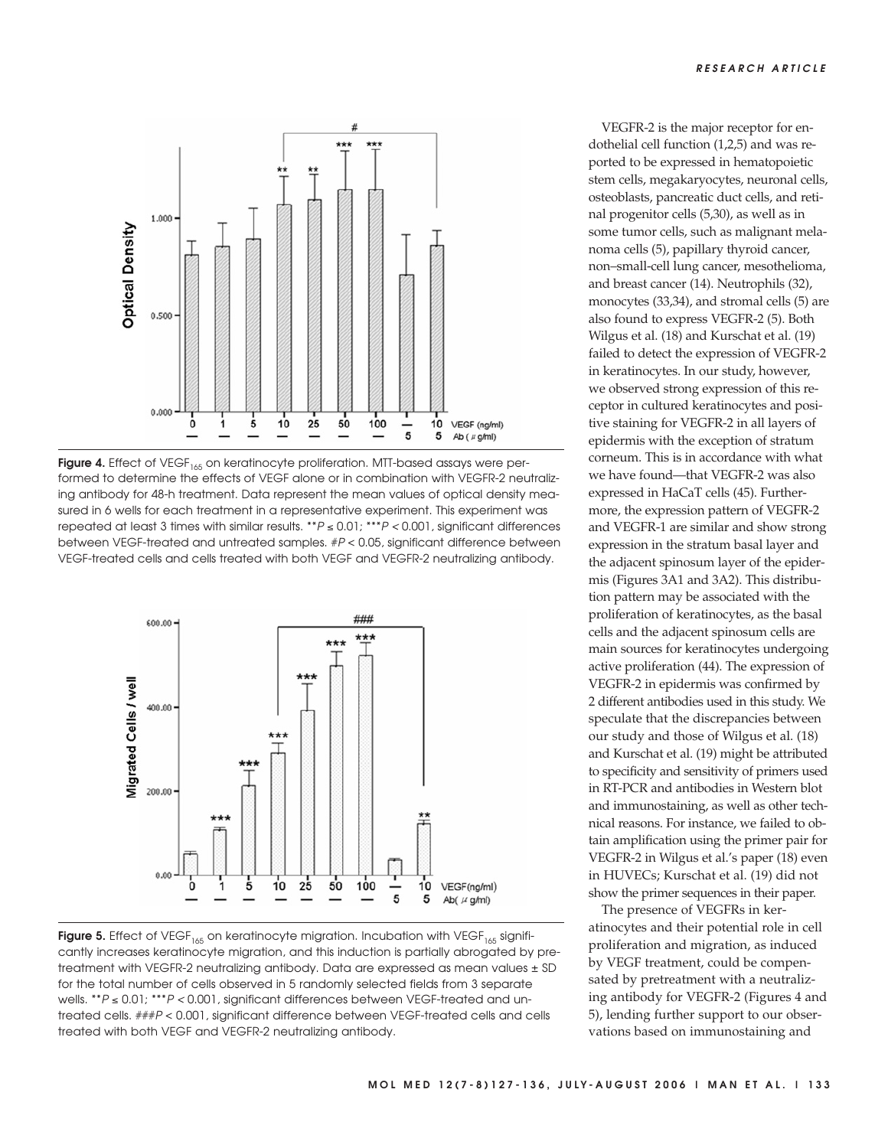

Figure 4. Effect of VEGF<sub>165</sub> on keratinocyte proliferation. MTT-based assays were performed to determine the effects of VEGF alone or in combination with VEGFR-2 neutralizing antibody for 48-h treatment. Data represent the mean values of optical density measured in 6 wells for each treatment in a representative experiment. This experiment was repeated at least 3 times with similar results. \*\*<sup>P</sup> ≤ 0.01; \*\*\*P < 0.001, significant differences between VEGF-treated and untreated samples. #P < 0.05, significant difference between VEGF-treated cells and cells treated with both VEGF and VEGFR-2 neutralizing antibody.



**Figure 5.** Effect of VEGF<sub>165</sub> on keratinocyte migration. Incubation with VEGF<sub>165</sub> significantly increases keratinocyte migration, and this induction is partially abrogated by pretreatment with VEGFR-2 neutralizing antibody. Data are expressed as mean values ± SD for the total number of cells observed in 5 randomly selected fields from 3 separate wells. \*\*P ≤ 0.01; \*\*\*P < 0.001, significant differences between VEGF-treated and untreated cells. ###P < 0.001, significant difference between VEGF-treated cells and cells treated with both VEGF and VEGFR-2 neutralizing antibody.

VEGFR-2 is the major receptor for endothelial cell function (1,2,5) and was reported to be expressed in hematopoietic stem cells, megakaryocytes, neuronal cells, osteoblasts, pancreatic duct cells, and retinal progenitor cells (5,30), as well as in some tumor cells, such as malignant melanoma cells (5), papillary thyroid cancer, non–small-cell lung cancer, mesothelioma, and breast cancer (14). Neutrophils (32), monocytes (33,34), and stromal cells (5) are also found to express VEGFR-2 (5). Both Wilgus et al. (18) and Kurschat et al. (19) failed to detect the expression of VEGFR-2 in keratinocytes. In our study, however, we observed strong expression of this receptor in cultured keratinocytes and positive staining for VEGFR-2 in all layers of epidermis with the exception of stratum corneum. This is in accordance with what we have found—that VEGFR-2 was also expressed in HaCaT cells (45). Furthermore, the expression pattern of VEGFR-2 and VEGFR-1 are similar and show strong expression in the stratum basal layer and the adjacent spinosum layer of the epidermis (Figures 3A1 and 3A2). This distribution pattern may be associated with the proliferation of keratinocytes, as the basal cells and the adjacent spinosum cells are main sources for keratinocytes undergoing active proliferation (44). The expression of VEGFR-2 in epidermis was confirmed by 2 different antibodies used in this study. We speculate that the discrepancies between our study and those of Wilgus et al. (18) and Kurschat et al. (19) might be attributed to specificity and sensitivity of primers used in RT-PCR and antibodies in Western blot and immunostaining, as well as other technical reasons. For instance, we failed to obtain amplification using the primer pair for VEGFR-2 in Wilgus et al.'s paper (18) even in HUVECs; Kurschat et al. (19) did not show the primer sequences in their paper.

The presence of VEGFRs in keratinocytes and their potential role in cell proliferation and migration, as induced by VEGF treatment, could be compensated by pretreatment with a neutralizing antibody for VEGFR-2 (Figures 4 and 5), lending further support to our observations based on immunostaining and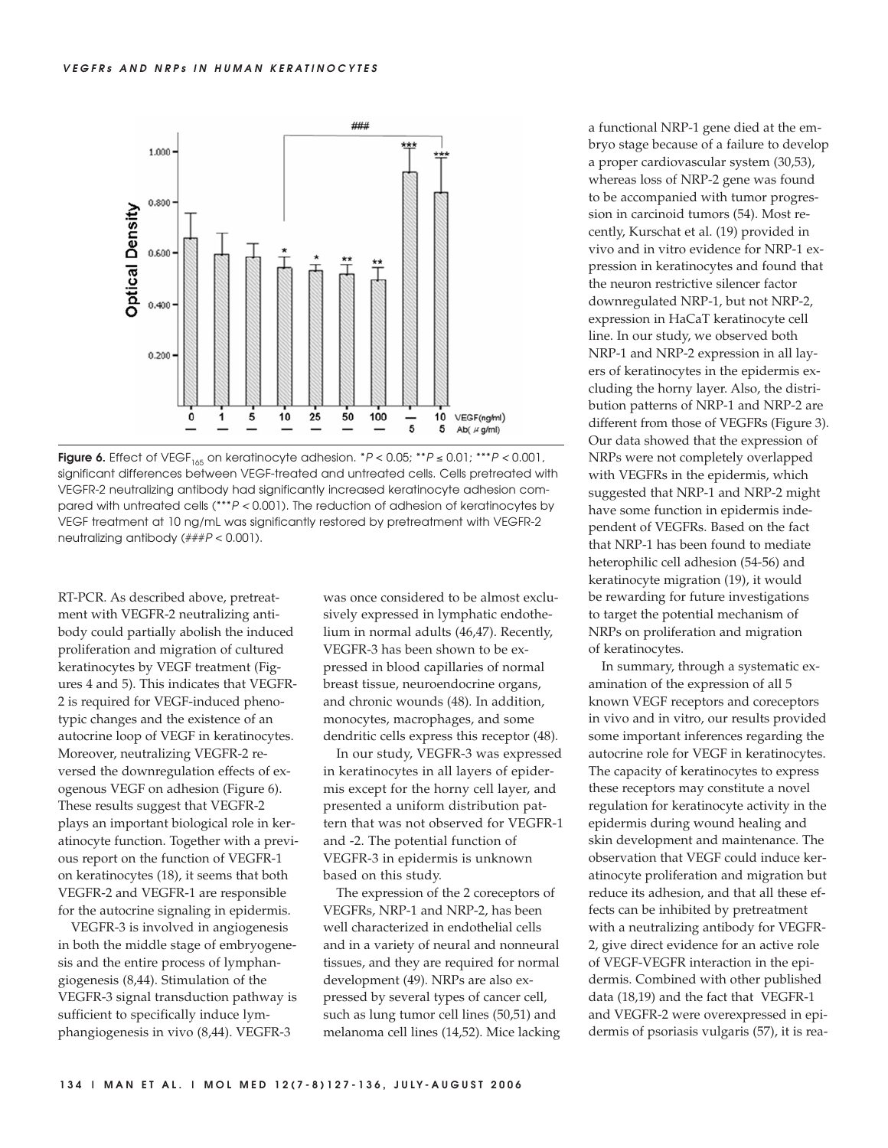

Figure 6. Effect of VEGF<sub>165</sub> on keratinocyte adhesion.  $*P < 0.05$ ;  $**P \le 0.01$ ;  $***P < 0.001$ , significant differences between VEGF-treated and untreated cells. Cells pretreated with VEGFR-2 neutralizing antibody had significantly increased keratinocyte adhesion compared with untreated cells (\*\*\*P < 0.001). The reduction of adhesion of keratinocytes by VEGF treatment at 10 ng/mL was significantly restored by pretreatment with VEGFR-2 neutralizing antibody (###P < 0.001).

RT-PCR. As described above, pretreatment with VEGFR-2 neutralizing antibody could partially abolish the induced proliferation and migration of cultured keratinocytes by VEGF treatment (Figures 4 and 5). This indicates that VEGFR-2 is required for VEGF-induced phenotypic changes and the existence of an autocrine loop of VEGF in keratinocytes. Moreover, neutralizing VEGFR-2 reversed the downregulation effects of exogenous VEGF on adhesion (Figure 6). These results suggest that VEGFR-2 plays an important biological role in keratinocyte function. Together with a previous report on the function of VEGFR-1 on keratinocytes (18), it seems that both VEGFR-2 and VEGFR-1 are responsible for the autocrine signaling in epidermis.

VEGFR-3 is involved in angiogenesis in both the middle stage of embryogenesis and the entire process of lymphangiogenesis (8,44). Stimulation of the VEGFR-3 signal transduction pathway is sufficient to specifically induce lymphangiogenesis in vivo (8,44). VEGFR-3

was once considered to be almost exclusively expressed in lymphatic endothelium in normal adults (46,47). Recently, VEGFR-3 has been shown to be expressed in blood capillaries of normal breast tissue, neuroendocrine organs, and chronic wounds (48)*.* In addition, monocytes, macrophages, and some dendritic cells express this receptor (48)*.*

In our study, VEGFR-3 was expressed in keratinocytes in all layers of epidermis except for the horny cell layer, and presented a uniform distribution pattern that was not observed for VEGFR-1 and -2. The potential function of VEGFR-3 in epidermis is unknown based on this study.

The expression of the 2 coreceptors of VEGFRs, NRP-1 and NRP-2, has been well characterized in endothelial cells and in a variety of neural and nonneural tissues, and they are required for normal development (49). NRPs are also expressed by several types of cancer cell, such as lung tumor cell lines (50,51) and melanoma cell lines (14,52). Mice lacking a functional NRP-1 gene died at the embryo stage because of a failure to develop a proper cardiovascular system (30,53), whereas loss of NRP-2 gene was found to be accompanied with tumor progression in carcinoid tumors (54). Most recently, Kurschat et al. (19) provided in vivo and in vitro evidence for NRP-1 expression in keratinocytes and found that the neuron restrictive silencer factor downregulated NRP-1, but not NRP-2, expression in HaCaT keratinocyte cell line. In our study, we observed both NRP-1 and NRP-2 expression in all layers of keratinocytes in the epidermis excluding the horny layer. Also, the distribution patterns of NRP-1 and NRP-2 are different from those of VEGFRs (Figure 3). Our data showed that the expression of NRPs were not completely overlapped with VEGFRs in the epidermis, which suggested that NRP-1 and NRP-2 might have some function in epidermis independent of VEGFRs. Based on the fact that NRP-1 has been found to mediate heterophilic cell adhesion (54-56) and keratinocyte migration (19), it would be rewarding for future investigations to target the potential mechanism of NRPs on proliferation and migration of keratinocytes.

In summary, through a systematic examination of the expression of all 5 known VEGF receptors and coreceptors in vivo and in vitro, our results provided some important inferences regarding the autocrine role for VEGF in keratinocytes. The capacity of keratinocytes to express these receptors may constitute a novel regulation for keratinocyte activity in the epidermis during wound healing and skin development and maintenance. The observation that VEGF could induce keratinocyte proliferation and migration but reduce its adhesion, and that all these effects can be inhibited by pretreatment with a neutralizing antibody for VEGFR-2, give direct evidence for an active role of VEGF-VEGFR interaction in the epidermis. Combined with other published data (18,19) and the fact that VEGFR-1 and VEGFR-2 were overexpressed in epidermis of psoriasis vulgaris (57), it is rea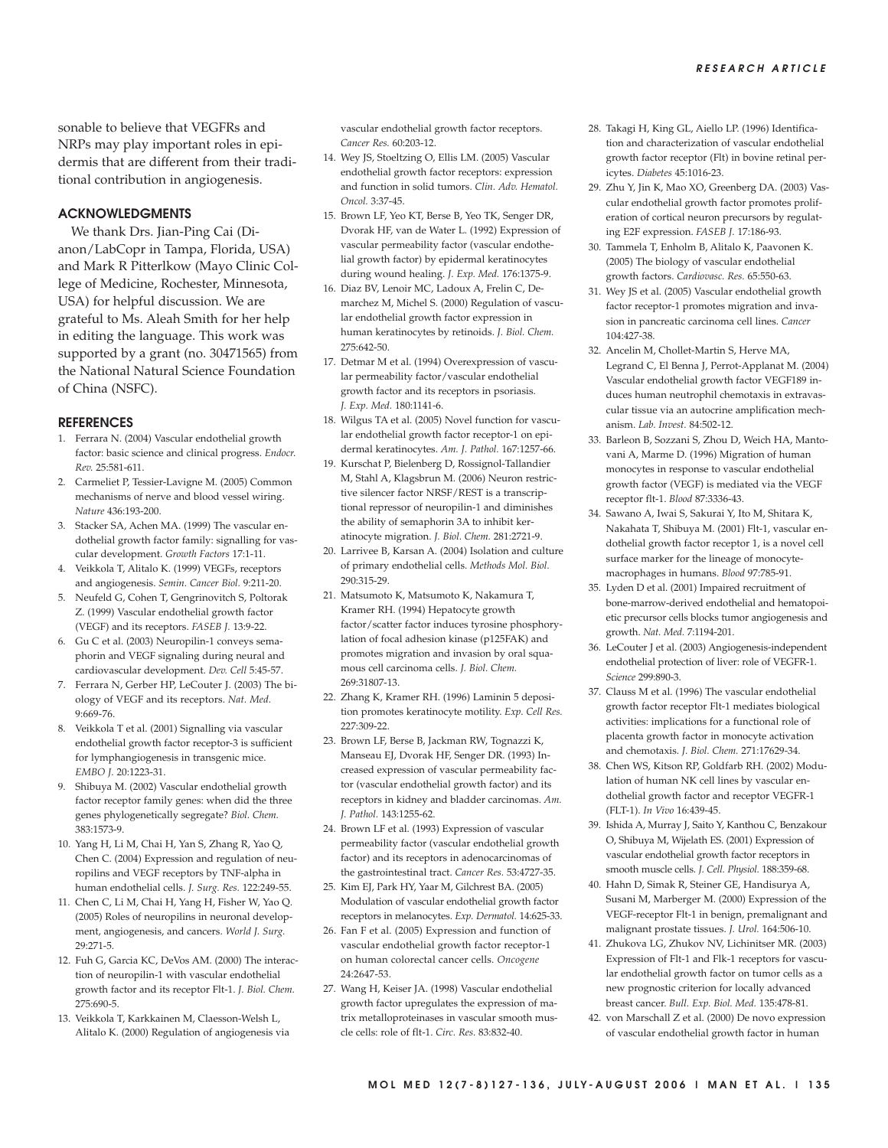sonable to believe that VEGFRs and NRPs may play important roles in epidermis that are different from their traditional contribution in angiogenesis.

## **ACKNOWLEDGMENTS**

We thank Drs. Jian-Ping Cai (Dianon/LabCopr in Tampa, Florida, USA) and Mark R Pitterlkow (Mayo Clinic College of Medicine, Rochester, Minnesota, USA) for helpful discussion. We are grateful to Ms. Aleah Smith for her help in editing the language. This work was supported by a grant (no. 30471565) from the National Natural Science Foundation of China (NSFC).

#### **REFERENCES**

- 1. Ferrara N. (2004) Vascular endothelial growth factor: basic science and clinical progress. *Endocr. Rev.* 25:581-611.
- 2. Carmeliet P, Tessier-Lavigne M. (2005) Common mechanisms of nerve and blood vessel wiring. *Nature* 436:193-200.
- 3. Stacker SA, Achen MA. (1999) The vascular endothelial growth factor family: signalling for vascular development. *Growth Factors* 17:1-11.
- 4. Veikkola T, Alitalo K. (1999) VEGFs, receptors and angiogenesis. *Semin. Cancer Biol.* 9:211-20.
- 5. Neufeld G, Cohen T, Gengrinovitch S, Poltorak Z. (1999) Vascular endothelial growth factor (VEGF) and its receptors. *FASEB J.* 13:9-22.
- 6. Gu C et al. (2003) Neuropilin-1 conveys semaphorin and VEGF signaling during neural and cardiovascular development. *Dev. Cell* 5:45-57.
- 7. Ferrara N, Gerber HP, LeCouter J. (2003) The biology of VEGF and its receptors. *Nat. Med.* 9:669-76.
- 8. Veikkola T et al. (2001) Signalling via vascular endothelial growth factor receptor-3 is sufficient for lymphangiogenesis in transgenic mice. *EMBO J.* 20:1223-31.
- 9. Shibuya M. (2002) Vascular endothelial growth factor receptor family genes: when did the three genes phylogenetically segregate? *Biol. Chem.* 383:1573-9.
- 10. Yang H, Li M, Chai H, Yan S, Zhang R, Yao Q, Chen C. (2004) Expression and regulation of neuropilins and VEGF receptors by TNF-alpha in human endothelial cells. *J. Surg. Res.* 122:249-55.
- 11. Chen C, Li M, Chai H, Yang H, Fisher W, Yao Q. (2005) Roles of neuropilins in neuronal development, angiogenesis, and cancers. *World J. Surg.* 29:271-5.
- 12. Fuh G, Garcia KC, DeVos AM. (2000) The interaction of neuropilin-1 with vascular endothelial growth factor and its receptor Flt-1. *J. Biol. Chem.* 275:690-5.
- 13. Veikkola T, Karkkainen M, Claesson-Welsh L, Alitalo K. (2000) Regulation of angiogenesis via

vascular endothelial growth factor receptors. *Cancer Res.* 60:203-12.

- 14. Wey JS, Stoeltzing O, Ellis LM. (2005) Vascular endothelial growth factor receptors: expression and function in solid tumors. *Clin. Adv. Hematol. Oncol.* 3:37-45.
- 15. Brown LF, Yeo KT, Berse B, Yeo TK, Senger DR, Dvorak HF, van de Water L. (1992) Expression of vascular permeability factor (vascular endothelial growth factor) by epidermal keratinocytes during wound healing. *J. Exp. Med.* 176:1375-9.
- 16. Diaz BV, Lenoir MC, Ladoux A, Frelin C, Demarchez M, Michel S. (2000) Regulation of vascular endothelial growth factor expression in human keratinocytes by retinoids. *J. Biol. Chem.* 275:642-50.
- 17. Detmar M et al. (1994) Overexpression of vascular permeability factor/vascular endothelial growth factor and its receptors in psoriasis. *J. Exp. Med.* 180:1141-6.
- 18. Wilgus TA et al. (2005) Novel function for vascular endothelial growth factor receptor-1 on epidermal keratinocytes. *Am. J. Pathol.* 167:1257-66.
- 19. Kurschat P, Bielenberg D, Rossignol-Tallandier M, Stahl A, Klagsbrun M. (2006) Neuron restrictive silencer factor NRSF/REST is a transcriptional repressor of neuropilin-1 and diminishes the ability of semaphorin 3A to inhibit keratinocyte migration. *J. Biol. Chem.* 281:2721-9.
- 20. Larrivee B, Karsan A. (2004) Isolation and culture of primary endothelial cells. *Methods Mol. Biol.* 290:315-29.
- 21. Matsumoto K, Matsumoto K, Nakamura T, Kramer RH. (1994) Hepatocyte growth factor/scatter factor induces tyrosine phosphorylation of focal adhesion kinase (p125FAK) and promotes migration and invasion by oral squamous cell carcinoma cells. *J. Biol. Chem.* 269:31807-13.
- 22. Zhang K, Kramer RH. (1996) Laminin 5 deposition promotes keratinocyte motility. *Exp. Cell Res.* 227:309-22.
- 23. Brown LF, Berse B, Jackman RW, Tognazzi K, Manseau EJ, Dvorak HF, Senger DR. (1993) Increased expression of vascular permeability factor (vascular endothelial growth factor) and its receptors in kidney and bladder carcinomas. *Am. J. Pathol.* 143:1255-62.
- 24. Brown LF et al. (1993) Expression of vascular permeability factor (vascular endothelial growth factor) and its receptors in adenocarcinomas of the gastrointestinal tract. *Cancer Res.* 53:4727-35.
- 25. Kim EJ, Park HY, Yaar M, Gilchrest BA. (2005) Modulation of vascular endothelial growth factor receptors in melanocytes. *Exp. Dermatol.* 14:625-33.
- 26. Fan F et al. (2005) Expression and function of vascular endothelial growth factor receptor-1 on human colorectal cancer cells. *Oncogene* 24:2647-53.
- 27. Wang H, Keiser JA. (1998) Vascular endothelial growth factor upregulates the expression of matrix metalloproteinases in vascular smooth muscle cells: role of flt-1. *Circ. Res.* 83:832-40.
- 28. Takagi H, King GL, Aiello LP. (1996) Identification and characterization of vascular endothelial growth factor receptor (Flt) in bovine retinal pericytes. *Diabetes* 45:1016-23.
- 29. Zhu Y, Jin K, Mao XO, Greenberg DA. (2003) Vascular endothelial growth factor promotes proliferation of cortical neuron precursors by regulating E2F expression. *FASEB J.* 17:186-93.
- 30. Tammela T, Enholm B, Alitalo K, Paavonen K. (2005) The biology of vascular endothelial growth factors. *Cardiovasc. Res.* 65:550-63.
- 31. Wey JS et al. (2005) Vascular endothelial growth factor receptor-1 promotes migration and invasion in pancreatic carcinoma cell lines. *Cancer* 104:427-38.
- 32. Ancelin M, Chollet-Martin S, Herve MA, Legrand C, El Benna J, Perrot-Applanat M. (2004) Vascular endothelial growth factor VEGF189 induces human neutrophil chemotaxis in extravascular tissue via an autocrine amplification mechanism. *Lab. Invest.* 84:502-12.
- 33. Barleon B, Sozzani S, Zhou D, Weich HA, Mantovani A, Marme D. (1996) Migration of human monocytes in response to vascular endothelial growth factor (VEGF) is mediated via the VEGF receptor flt-1. *Blood* 87:3336-43.
- 34. Sawano A, Iwai S, Sakurai Y, Ito M, Shitara K, Nakahata T, Shibuya M. (2001) Flt-1, vascular endothelial growth factor receptor 1, is a novel cell surface marker for the lineage of monocytemacrophages in humans. *Blood* 97:785-91.
- 35. Lyden D et al. (2001) Impaired recruitment of bone-marrow-derived endothelial and hematopoietic precursor cells blocks tumor angiogenesis and growth. *Nat. Med.* 7:1194-201.
- 36. LeCouter J et al. (2003) Angiogenesis-independent endothelial protection of liver: role of VEGFR-1. *Science* 299:890-3.
- 37. Clauss M et al. (1996) The vascular endothelial growth factor receptor Flt-1 mediates biological activities: implications for a functional role of placenta growth factor in monocyte activation and chemotaxis. *J. Biol. Chem.* 271:17629-34.
- 38. Chen WS, Kitson RP, Goldfarb RH. (2002) Modulation of human NK cell lines by vascular endothelial growth factor and receptor VEGFR-1 (FLT-1). *In Vivo* 16:439-45.
- 39. Ishida A, Murray J, Saito Y, Kanthou C, Benzakour O, Shibuya M, Wijelath ES. (2001) Expression of vascular endothelial growth factor receptors in smooth muscle cells. *J. Cell. Physiol.* 188:359-68.
- 40. Hahn D, Simak R, Steiner GE, Handisurya A, Susani M, Marberger M. (2000) Expression of the VEGF-receptor Flt-1 in benign, premalignant and malignant prostate tissues. *J. Urol.* 164:506-10.
- 41. Zhukova LG, Zhukov NV, Lichinitser MR. (2003) Expression of Flt-1 and Flk-1 receptors for vascular endothelial growth factor on tumor cells as a new prognostic criterion for locally advanced breast cancer. *Bull. Exp. Biol. Med.* 135:478-81.
- 42. von Marschall Z et al. (2000) De novo expression of vascular endothelial growth factor in human